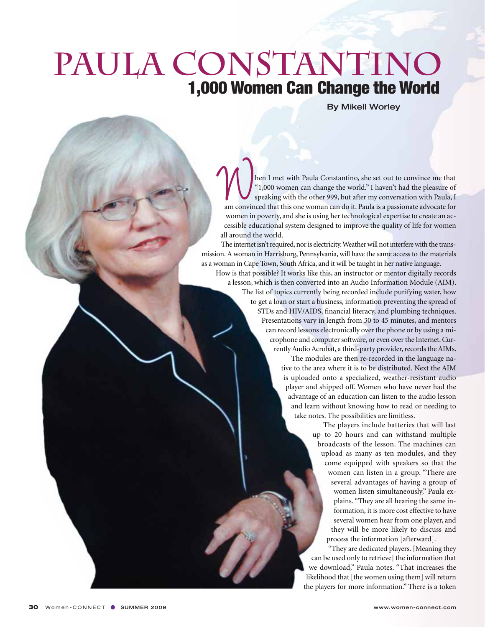## PAULA CONSTANTINO 1,000 Women Can Change the World

By Mikell Worley

hen I met with Paula Constantino, she set out to convince me that "1,000 women can change the world." I haven't had the pleasure of speaking with the other 999, but after my conversation with Paula, I am convinced that this one woman can do it. Paula is a passionate advocate for women in poverty, and she is using her technological expertise to create an accessible educational system designed to improve the quality of life for women all around the world.

The internet isn't required, nor is electricity. Weather will not interfere with the transmission. A woman in Harrisburg, Pennsylvania, will have the same access to the materials as a woman in Cape Town, South Africa, and it will be taught in her native language.

How is that possible? It works like this, an instructor or mentor digitally records a lesson, which is then converted into an Audio Information Module (AIM). The list of topics currently being recorded include purifying water, how to get a loan or start a business, information preventing the spread of STDs and HIV/AIDS, financial literacy, and plumbing techniques. Presentations vary in length from 30 to 45 minutes, and mentors can record lessons electronically over the phone or by using a microphone and computer software, or even over the Internet. Currently Audio Acrobat, a third-party provider, records the AIMs.

> The modules are then re-recorded in the language native to the area where it is to be distributed. Next the AIM is uploaded onto a specialized, weather-resistant audio player and shipped off. Women who have never had the advantage of an education can listen to the audio lesson and learn without knowing how to read or needing to take notes. The possibilities are limitless.

> > The players include batteries that will last up to 20 hours and can withstand multiple broadcasts of the lesson. The machines can upload as many as ten modules, and they come equipped with speakers so that the women can listen in a group. "There are several advantages of having a group of women listen simultaneously," Paula explains. "They are all hearing the same information, it is more cost effective to have several women hear from one player, and they will be more likely to discuss and process the information [afterward].

"They are dedicated players. [Meaning they can be used only to retrieve] the information that we download," Paula notes. "That increases the likelihood that [the women using them] will return the players for more information." There is a token